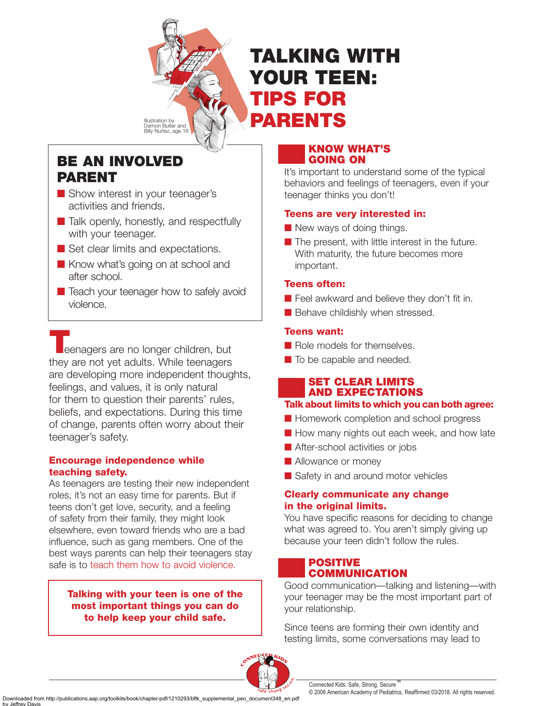

# **TALKING WITH YOUR TEEN: TIPS FOR PARENTS**

## **BE AN INVOLVED PARENT**

- Show interest in your teenager's activities and friends.
- Talk openly, honestly, and respectfully with your teenager.
- Set clear limits and expectations.
- Know what's going on at school and after school.
- Teach your teenager how to safely avoid violence.

**T**eenagers are no longer children, but they are not yet adults. While teenagers are developing more independent thoughts, feelings, and values, it is only natural for them to question their parents' rules, beliefs, and expectations. During this time of change, parents often worry about their teenager's safety.

## **Encourage independence while teaching safety.**

As teenagers are testing their new independent roles, it's not an easy time for parents. But if teens don't get love, security, and a feeling of safety from their family, they might look elsewhere, even toward friends who are a bad influence, such as gang members. One of the best ways parents can help their teenagers stay safe is to teach them how to avoid violence.

#### **Talking with your teen is one of the most important things you can do to help keep your child safe.**

## **KNOW WHAT'S GOING ON**

It's important to understand some of the typical behaviors and feelings of teenagers, even if your teenager thinks you don't!

## **Teens are very interested in:**

- New ways of doing things.
- The present, with little interest in the future. With maturity, the future becomes more important.

## **Teens often:**

- Feel awkward and believe they don't fit in.
- Behave childishly when stressed.

## **Teens want:**

- Role models for themselves.
- To be capable and needed.

## **SET CLEAR LIMITS AND EXPECTATIONS**

## **Talk about limits to which you can both agree:**

- Homework completion and school progress
- How many nights out each week, and how late
- After-school activities or jobs
- Allowance or money
- Safety in and around motor vehicles

## **Clearly communicate any change in the original limits.**

You have specific reasons for deciding to change what was agreed to. You aren't simply giving up because your teen didn't follow the rules.

## **POSITIVE COMMUNICATION**

Good communication—talking and listening—with your teenager may be the most important part of your relationship.

Since teens are forming their own identity and testing limits, some conversations may lead to

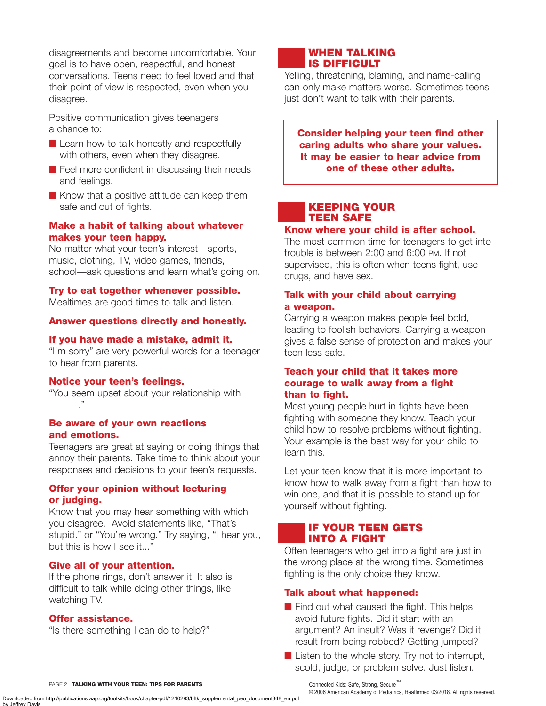disagreements and become uncomfortable. Your goal is to have open, respectful, and honest conversations. Teens need to feel loved and that their point of view is respected, even when you disagree.

Positive communication gives teenagers a chance to:

- Learn how to talk honestly and respectfully with others, even when they disagree.
- Feel more confident in discussing their needs and feelings.
- Know that a positive attitude can keep them safe and out of fights.

#### **Make a habit of talking about whatever makes your teen happy.**

No matter what your teen's interest—sports, music, clothing, TV, video games, friends, school—ask questions and learn what's going on.

#### **Try to eat together whenever possible.**

Mealtimes are good times to talk and listen.

#### **Answer questions directly and honestly.**

#### **If you have made a mistake, admit it.**

"I'm sorry" are very powerful words for a teenager to hear from parents.

#### **Notice your teen's feelings.**

"You seem upset about your relationship with  $\blacksquare$ 

#### **Be aware of your own reactions and emotions.**

Teenagers are great at saying or doing things that annoy their parents. Take time to think about your responses and decisions to your teen's requests.

#### **Offer your opinion without lecturing or judging.**

Know that you may hear something with which you disagree. Avoid statements like, "That's stupid." or "You're wrong." Try saying, "I hear you, but this is how I see it..."

#### **Give all of your attention.**

If the phone rings, don't answer it. It also is difficult to talk while doing other things, like watching TV.

#### **Offer assistance.**

"Is there something I can do to help?"

## **WHEN TALKING IS DIFFICULT**

Yelling, threatening, blaming, and name-calling can only make matters worse. Sometimes teens just don't want to talk with their parents.

**Consider helping your teen find other caring adults who share your values. It may be easier to hear advice from one of these other adults.**

#### **KEEPING YOUR TEEN SAFE**

#### **Know where your child is after school.**

The most common time for teenagers to get into trouble is between 2:00 and 6:00 PM. If not supervised, this is often when teens fight, use drugs, and have sex.

#### **Talk with your child about carrying a weapon.**

Carrying a weapon makes people feel bold, leading to foolish behaviors. Carrying a weapon gives a false sense of protection and makes your teen less safe.

#### **Teach your child that it takes more courage to walk away from a fight than to fight.**

Most young people hurt in fights have been fighting with someone they know. Teach your child how to resolve problems without fighting. Your example is the best way for your child to learn this.

Let your teen know that it is more important to know how to walk away from a fight than how to win one, and that it is possible to stand up for yourself without fighting.

#### **IF YOUR TEEN GETS INTO A FIGHT**

Often teenagers who get into a fight are just in the wrong place at the wrong time. Sometimes fighting is the only choice they know.

#### **Talk about what happened:**

- $\blacksquare$  Find out what caused the fight. This helps avoid future fights. Did it start with an argument? An insult? Was it revenge? Did it result from being robbed? Getting jumped?
- Listen to the whole story. Try not to interrupt, scold, judge, or problem solve. Just listen.

Connected Kids: Safe, Strong, Secure™

PAGE 2 **TALKING WITH YOUR TEEN: TIPS FOR PARENTS**